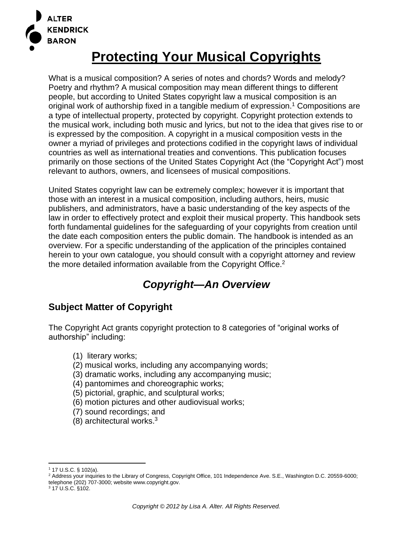

# **Protecting Your Musical Copyrights**

What is a musical composition? A series of notes and chords? Words and melody? Poetry and rhythm? A musical composition may mean different things to different people, but according to United States copyright law a musical composition is an original work of authorship fixed in a tangible medium of expression.<sup>1</sup> Compositions are a type of intellectual property, protected by copyright. Copyright protection extends to the musical work, including both music and lyrics, but not to the idea that gives rise to or is expressed by the composition. A copyright in a musical composition vests in the owner a myriad of privileges and protections codified in the copyright laws of individual countries as well as international treaties and conventions. This publication focuses primarily on those sections of the United States Copyright Act (the "Copyright Act") most relevant to authors, owners, and licensees of musical compositions.

United States copyright law can be extremely complex; however it is important that those with an interest in a musical composition, including authors, heirs, music publishers, and administrators, have a basic understanding of the key aspects of the law in order to effectively protect and exploit their musical property. This handbook sets forth fundamental guidelines for the safeguarding of your copyrights from creation until the date each composition enters the public domain. The handbook is intended as an overview. For a specific understanding of the application of the principles contained herein to your own catalogue, you should consult with a copyright attorney and review the more detailed information available from the Copyright Office.<sup>2</sup>

## *Copyright—An Overview*

### **Subject Matter of Copyright**

The Copyright Act grants copyright protection to 8 categories of "original works of authorship" including:

- (1) literary works;
- (2) musical works, including any accompanying words;
- (3) dramatic works, including any accompanying music;
- (4) pantomimes and choreographic works;
- (5) pictorial, graphic, and sculptural works;
- (6) motion pictures and other audiovisual works;
- (7) sound recordings; and
- (8) architectural works. 3

 $1$  17 U.S.C. § 102(a).

<sup>&</sup>lt;sup>2</sup> Address your inquiries to the Library of Congress, Copyright Office, 101 Independence Ave. S.E., Washington D.C. 20559-6000; telephone (202) 707-3000; website www.copyright.gov.

<sup>3</sup> 17 U.S.C. §102.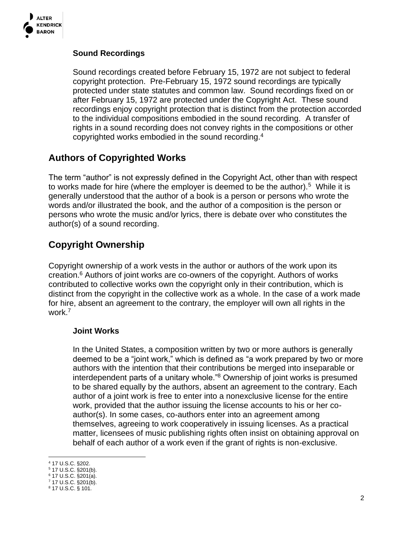

### **Sound Recordings**

Sound recordings created before February 15, 1972 are not subject to federal copyright protection. Pre-February 15, 1972 sound recordings are typically protected under state statutes and common law. Sound recordings fixed on or after February 15, 1972 are protected under the Copyright Act. These sound recordings enjoy copyright protection that is distinct from the protection accorded to the individual compositions embodied in the sound recording. A transfer of rights in a sound recording does not convey rights in the compositions or other copyrighted works embodied in the sound recording.<sup>4</sup>

### **Authors of Copyrighted Works**

The term "author" is not expressly defined in the Copyright Act, other than with respect to works made for hire (where the employer is deemed to be the author).<sup>5</sup> While it is generally understood that the author of a book is a person or persons who wrote the words and/or illustrated the book, and the author of a composition is the person or persons who wrote the music and/or lyrics, there is debate over who constitutes the author(s) of a sound recording.

### **Copyright Ownership**

Copyright ownership of a work vests in the author or authors of the work upon its creation.<sup>6</sup> Authors of joint works are co-owners of the copyright. Authors of works contributed to collective works own the copyright only in their contribution, which is distinct from the copyright in the collective work as a whole. In the case of a work made for hire, absent an agreement to the contrary, the employer will own all rights in the work. 7

#### **Joint Works**

In the United States, a composition written by two or more authors is generally deemed to be a "joint work," which is defined as "a work prepared by two or more authors with the intention that their contributions be merged into inseparable or interdependent parts of a unitary whole."<sup>8</sup> Ownership of joint works is presumed to be shared equally by the authors, absent an agreement to the contrary. Each author of a joint work is free to enter into a nonexclusive license for the entire work, provided that the author issuing the license accounts to his or her coauthor(s). In some cases, co-authors enter into an agreement among themselves, agreeing to work cooperatively in issuing licenses. As a practical matter, licensees of music publishing rights often insist on obtaining approval on behalf of each author of a work even if the grant of rights is non-exclusive.

<sup>4</sup> 17 U.S.C. §202.

<sup>5</sup> 17 U.S.C. §201(b).

<sup>6</sup> 17 U.S.C. §201(a).  $7$  17 U.S.C. §201(b).

<sup>8</sup> 17 U.S.C. § 101.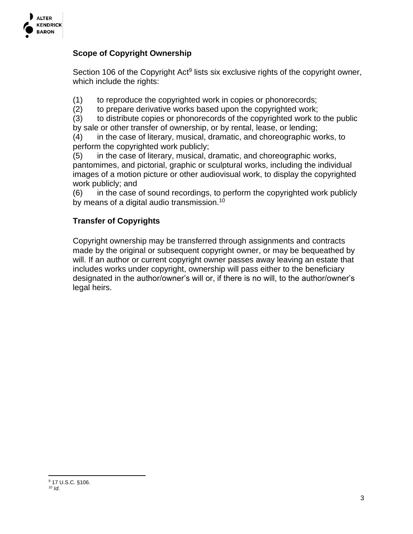

### **Scope of Copyright Ownership**

Section 106 of the Copyright Act<sup>9</sup> lists six exclusive rights of the copyright owner, which include the rights:

(1) to reproduce the copyrighted work in copies or phonorecords;

(2) to prepare derivative works based upon the copyrighted work;

(3) to distribute copies or phonorecords of the copyrighted work to the public by sale or other transfer of ownership, or by rental, lease, or lending;

(4) in the case of literary, musical, dramatic, and choreographic works, to perform the copyrighted work publicly;

(5) in the case of literary, musical, dramatic, and choreographic works, pantomimes, and pictorial, graphic or sculptural works, including the individual images of a motion picture or other audiovisual work, to display the copyrighted work publicly; and

(6) in the case of sound recordings, to perform the copyrighted work publicly by means of a digital audio transmission.<sup>10</sup>

### **Transfer of Copyrights**

Copyright ownership may be transferred through assignments and contracts made by the original or subsequent copyright owner, or may be bequeathed by will. If an author or current copyright owner passes away leaving an estate that includes works under copyright, ownership will pass either to the beneficiary designated in the author/owner's will or, if there is no will, to the author/owner's legal heirs.

<sup>9</sup> 17 U.S.C. §106.  $10 \,$  *Id.*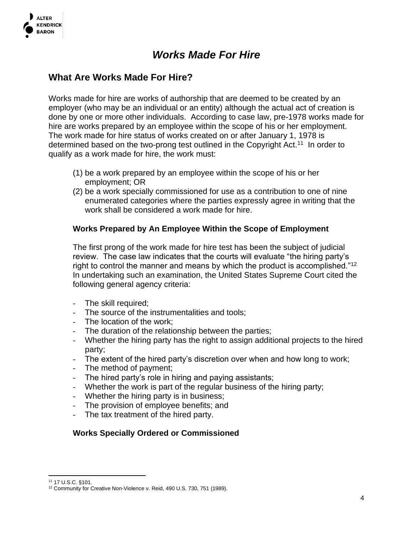

## *Works Made For Hire*

### **What Are Works Made For Hire?**

Works made for hire are works of authorship that are deemed to be created by an employer (who may be an individual or an entity) although the actual act of creation is done by one or more other individuals. According to case law, pre-1978 works made for hire are works prepared by an employee within the scope of his or her employment. The work made for hire status of works created on or after January 1, 1978 is determined based on the two-prong test outlined in the Copyright Act.<sup>11</sup> In order to qualify as a work made for hire, the work must:

- (1) be a work prepared by an employee within the scope of his or her employment; OR
- (2) be a work specially commissioned for use as a contribution to one of nine enumerated categories where the parties expressly agree in writing that the work shall be considered a work made for hire.

### **Works Prepared by An Employee Within the Scope of Employment**

The first prong of the work made for hire test has been the subject of judicial review. The case law indicates that the courts will evaluate "the hiring party's right to control the manner and means by which the product is accomplished."<sup>12</sup> In undertaking such an examination, the United States Supreme Court cited the following general agency criteria:

- The skill required;
- The source of the instrumentalities and tools;
- The location of the work;
- The duration of the relationship between the parties;
- Whether the hiring party has the right to assign additional projects to the hired party;
- The extent of the hired party's discretion over when and how long to work;
- The method of payment;
- The hired party's role in hiring and paying assistants;
- Whether the work is part of the regular business of the hiring party;
- Whether the hiring party is in business;
- The provision of employee benefits; and
- The tax treatment of the hired party.

#### **Works Specially Ordered or Commissioned**

<sup>11</sup> 17 U.S.C. §101.

<sup>&</sup>lt;sup>12</sup> Community for Creative Non-Violence v. Reid, 490 U.S. 730, 751 (1989).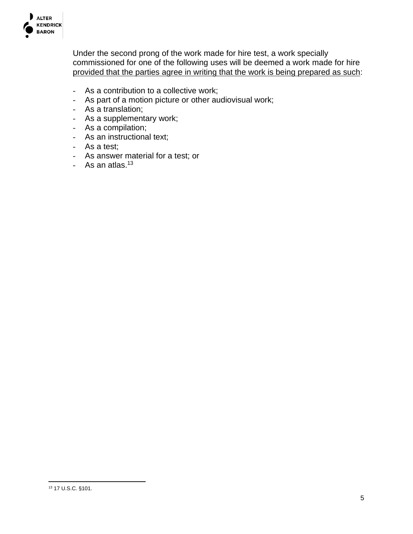

Under the second prong of the work made for hire test, a work specially commissioned for one of the following uses will be deemed a work made for hire provided that the parties agree in writing that the work is being prepared as such:

- As a contribution to a collective work;
- As part of a motion picture or other audiovisual work;
- As a translation;
- As a supplementary work;
- As a compilation;
- As an instructional text;
- As a test;
- As answer material for a test; or
- As an atlas.<sup>13</sup>

<sup>13</sup> 17 U.S.C. §101.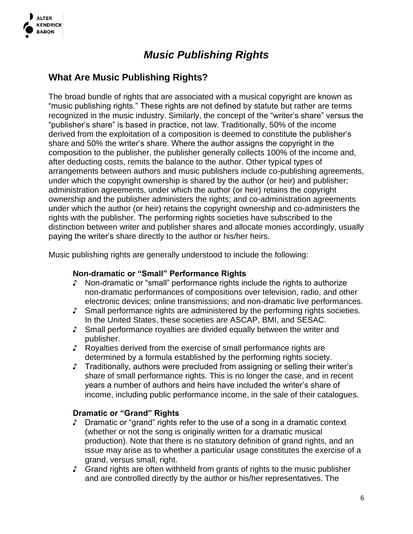

## *Music Publishing Rights*

### **What Are Music Publishing Rights?**

The broad bundle of rights that are associated with a musical copyright are known as "music publishing rights." These rights are not defined by statute but rather are terms recognized in the music industry. Similarly, the concept of the "writer's share" versus the "publisher's share" is based in practice, not law. Traditionally, 50% of the income derived from the exploitation of a composition is deemed to constitute the publisher's share and 50% the writer's share. Where the author assigns the copyright in the composition to the publisher, the publisher generally collects 100% of the income and, after deducting costs, remits the balance to the author. Other typical types of arrangements between authors and music publishers include co-publishing agreements, under which the copyright ownership is shared by the author (or heir) and publisher; administration agreements, under which the author (or heir) retains the copyright ownership and the publisher administers the rights; and co-administration agreements under which the author (or heir) retains the copyright ownership and co-administers the rights with the publisher. The performing rights societies have subscribed to the distinction between writer and publisher shares and allocate monies accordingly, usually paying the writer's share directly to the author or his/her heirs.

Music publishing rights are generally understood to include the following:

#### **Non-dramatic or "Small" Performance Rights**

- ♪ Non-dramatic or "small" performance rights include the rights to authorize non-dramatic performances of compositions over television, radio, and other electronic devices; online transmissions; and non-dramatic live performances.
- ♪ Small performance rights are administered by the performing rights societies. In the United States, these societies are ASCAP, BMI, and SESAC.
- ♪ Small performance royalties are divided equally between the writer and publisher.
- ♪ Royalties derived from the exercise of small performance rights are determined by a formula established by the performing rights society.
- ♪ Traditionally, authors were precluded from assigning or selling their writer's share of small performance rights. This is no longer the case, and in recent years a number of authors and heirs have included the writer's share of income, including public performance income, in the sale of their catalogues.

#### **Dramatic or "Grand" Rights**

- ♪ Dramatic or "grand" rights refer to the use of a song in a dramatic context (whether or not the song is originally written for a dramatic musical production). Note that there is no statutory definition of grand rights, and an issue may arise as to whether a particular usage constitutes the exercise of a grand, versus small, right.
- ♪ Grand rights are often withheld from grants of rights to the music publisher and are controlled directly by the author or his/her representatives. The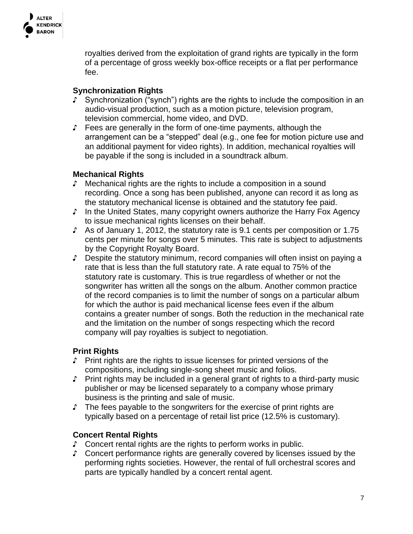

royalties derived from the exploitation of grand rights are typically in the form of a percentage of gross weekly box-office receipts or a flat per performance fee.

### **Synchronization Rights**

- ♪ Synchronization ("synch") rights are the rights to include the composition in an audio-visual production, such as a motion picture, television program, television commercial, home video, and DVD.
- ♪ Fees are generally in the form of one-time payments, although the arrangement can be a "stepped" deal (e.g., one fee for motion picture use and an additional payment for video rights). In addition, mechanical royalties will be payable if the song is included in a soundtrack album.

### **Mechanical Rights**

- ♪ Mechanical rights are the rights to include a composition in a sound recording. Once a song has been published, anyone can record it as long as the statutory mechanical license is obtained and the statutory fee paid.
- ♪ In the United States, many copyright owners authorize the Harry Fox Agency to issue mechanical rights licenses on their behalf.
- ♪ As of January 1, 2012, the statutory rate is 9.1 cents per composition or 1.75 cents per minute for songs over 5 minutes. This rate is subject to adjustments by the Copyright Royalty Board.
- ♪ Despite the statutory minimum, record companies will often insist on paying a rate that is less than the full statutory rate. A rate equal to 75% of the statutory rate is customary. This is true regardless of whether or not the songwriter has written all the songs on the album. Another common practice of the record companies is to limit the number of songs on a particular album for which the author is paid mechanical license fees even if the album contains a greater number of songs. Both the reduction in the mechanical rate and the limitation on the number of songs respecting which the record company will pay royalties is subject to negotiation.

### **Print Rights**

- ♪ Print rights are the rights to issue licenses for printed versions of the compositions, including single-song sheet music and folios.
- ♪ Print rights may be included in a general grant of rights to a third-party music publisher or may be licensed separately to a company whose primary business is the printing and sale of music.
- ♪ The fees payable to the songwriters for the exercise of print rights are typically based on a percentage of retail list price (12.5% is customary).

#### **Concert Rental Rights**

- ♪ Concert rental rights are the rights to perform works in public.
- ♪ Concert performance rights are generally covered by licenses issued by the performing rights societies. However, the rental of full orchestral scores and parts are typically handled by a concert rental agent.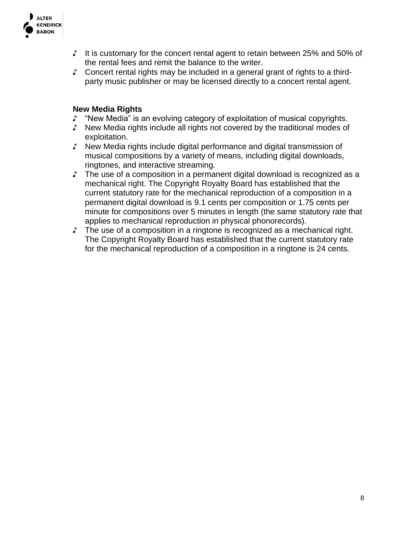

- ♪ It is customary for the concert rental agent to retain between 25% and 50% of the rental fees and remit the balance to the writer.
- ♪ Concert rental rights may be included in a general grant of rights to a thirdparty music publisher or may be licensed directly to a concert rental agent.

#### **New Media Rights**

- ♪ "New Media" is an evolving category of exploitation of musical copyrights.
- ♪ New Media rights include all rights not covered by the traditional modes of exploitation.
- ♪ New Media rights include digital performance and digital transmission of musical compositions by a variety of means, including digital downloads, ringtones, and interactive streaming.
- ♪ The use of a composition in a permanent digital download is recognized as a mechanical right. The Copyright Royalty Board has established that the current statutory rate for the mechanical reproduction of a composition in a permanent digital download is 9.1 cents per composition or 1.75 cents per minute for compositions over 5 minutes in length (the same statutory rate that applies to mechanical reproduction in physical phonorecords).
- ♪ The use of a composition in a ringtone is recognized as a mechanical right. The Copyright Royalty Board has established that the current statutory rate for the mechanical reproduction of a composition in a ringtone is 24 cents.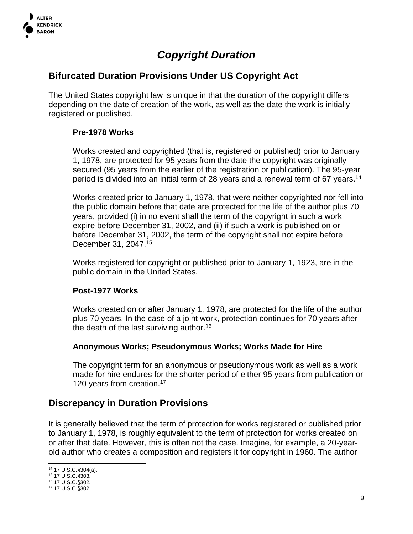

## *Copyright Duration*

### **Bifurcated Duration Provisions Under US Copyright Act**

The United States copyright law is unique in that the duration of the copyright differs depending on the date of creation of the work, as well as the date the work is initially registered or published.

### **Pre-1978 Works**

Works created and copyrighted (that is, registered or published) prior to January 1, 1978, are protected for 95 years from the date the copyright was originally secured (95 years from the earlier of the registration or publication). The 95-year period is divided into an initial term of 28 years and a renewal term of 67 years.<sup>14</sup>

Works created prior to January 1, 1978, that were neither copyrighted nor fell into the public domain before that date are protected for the life of the author plus 70 years, provided (i) in no event shall the term of the copyright in such a work expire before December 31, 2002, and (ii) if such a work is published on or before December 31, 2002, the term of the copyright shall not expire before December 31, 2047.<sup>15</sup>

Works registered for copyright or published prior to January 1, 1923, are in the public domain in the United States.

#### **Post-1977 Works**

Works created on or after January 1, 1978, are protected for the life of the author plus 70 years. In the case of a joint work, protection continues for 70 years after the death of the last surviving author.<sup>16</sup>

#### **Anonymous Works; Pseudonymous Works; Works Made for Hire**

The copyright term for an anonymous or pseudonymous work as well as a work made for hire endures for the shorter period of either 95 years from publication or 120 years from creation.<sup>17</sup>

### **Discrepancy in Duration Provisions**

It is generally believed that the term of protection for works registered or published prior to January 1, 1978, is roughly equivalent to the term of protection for works created on or after that date. However, this is often not the case. Imagine, for example, a 20-yearold author who creates a composition and registers it for copyright in 1960. The author

<sup>14</sup> 17 U.S.C.§304(a).

<sup>15</sup> 17 U.S.C.§303.

<sup>16</sup> 17 U.S.C.§302.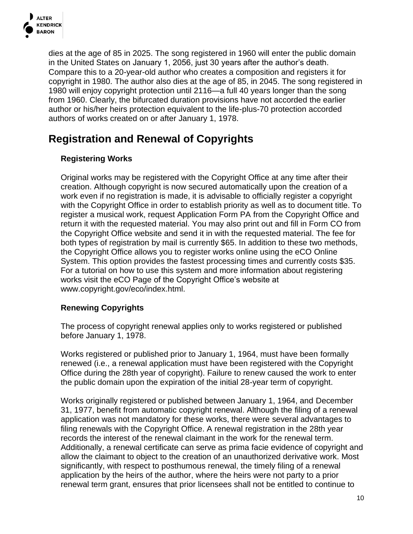

dies at the age of 85 in 2025. The song registered in 1960 will enter the public domain in the United States on January 1, 2056, just 30 years after the author's death. Compare this to a 20-year-old author who creates a composition and registers it for copyright in 1980. The author also dies at the age of 85, in 2045. The song registered in 1980 will enjoy copyright protection until 2116—a full 40 years longer than the song from 1960. Clearly, the bifurcated duration provisions have not accorded the earlier author or his/her heirs protection equivalent to the life-plus-70 protection accorded authors of works created on or after January 1, 1978.

## **Registration and Renewal of Copyrights**

### **Registering Works**

Original works may be registered with the Copyright Office at any time after their creation. Although copyright is now secured automatically upon the creation of a work even if no registration is made, it is advisable to officially register a copyright with the Copyright Office in order to establish priority as well as to document title. To register a musical work, request Application Form PA from the Copyright Office and return it with the requested material. You may also print out and fill in Form CO from the Copyright Office website and send it in with the requested material. The fee for both types of registration by mail is currently \$65. In addition to these two methods, the Copyright Office allows you to register works online using the eCO Online System. This option provides the fastest processing times and currently costs \$35. For a tutorial on how to use this system and more information about registering works visit the eCO Page of the Copyright Office's website at www.copyright.gov/eco/index.html.

### **Renewing Copyrights**

The process of copyright renewal applies only to works registered or published before January 1, 1978.

Works registered or published prior to January 1, 1964, must have been formally renewed (i.e., a renewal application must have been registered with the Copyright Office during the 28th year of copyright). Failure to renew caused the work to enter the public domain upon the expiration of the initial 28-year term of copyright.

Works originally registered or published between January 1, 1964, and December 31, 1977, benefit from automatic copyright renewal. Although the filing of a renewal application was not mandatory for these works, there were several advantages to filing renewals with the Copyright Office. A renewal registration in the 28th year records the interest of the renewal claimant in the work for the renewal term. Additionally, a renewal certificate can serve as prima facie evidence of copyright and allow the claimant to object to the creation of an unauthorized derivative work. Most significantly, with respect to posthumous renewal, the timely filing of a renewal application by the heirs of the author, where the heirs were not party to a prior renewal term grant, ensures that prior licensees shall not be entitled to continue to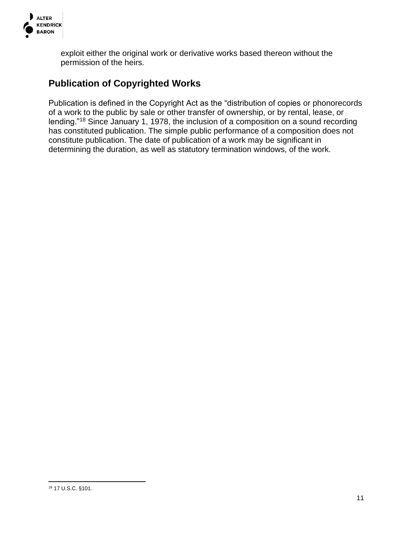

exploit either the original work or derivative works based thereon without the permission of the heirs.

### **Publication of Copyrighted Works**

Publication is defined in the Copyright Act as the "distribution of copies or phonorecords of a work to the public by sale or other transfer of ownership, or by rental, lease, or lending."<sup>18</sup> Since January 1, 1978, the inclusion of a composition on a sound recording has constituted publication. The simple public performance of a composition does not constitute publication. The date of publication of a work may be significant in determining the duration, as well as statutory termination windows, of the work.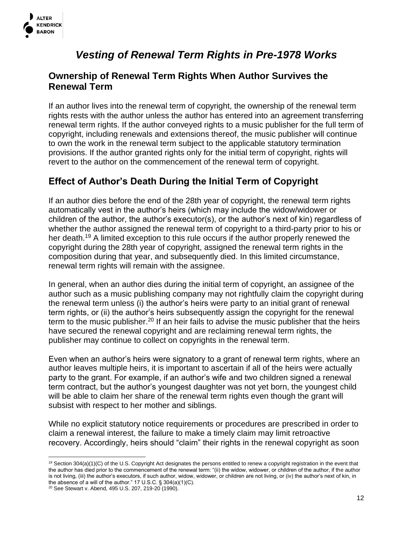

## *Vesting of Renewal Term Rights in Pre-1978 Works*

### **Ownership of Renewal Term Rights When Author Survives the Renewal Term**

If an author lives into the renewal term of copyright, the ownership of the renewal term rights rests with the author unless the author has entered into an agreement transferring renewal term rights. If the author conveyed rights to a music publisher for the full term of copyright, including renewals and extensions thereof, the music publisher will continue to own the work in the renewal term subject to the applicable statutory termination provisions. If the author granted rights only for the initial term of copyright, rights will revert to the author on the commencement of the renewal term of copyright.

### **Effect of Author's Death During the Initial Term of Copyright**

If an author dies before the end of the 28th year of copyright, the renewal term rights automatically vest in the author's heirs (which may include the widow/widower or children of the author, the author's executor(s), or the author's next of kin) regardless of whether the author assigned the renewal term of copyright to a third-party prior to his or her death.<sup>19</sup> A limited exception to this rule occurs if the author properly renewed the copyright during the 28th year of copyright, assigned the renewal term rights in the composition during that year, and subsequently died. In this limited circumstance, renewal term rights will remain with the assignee.

In general, when an author dies during the initial term of copyright, an assignee of the author such as a music publishing company may not rightfully claim the copyright during the renewal term unless (i) the author's heirs were party to an initial grant of renewal term rights, or (ii) the author's heirs subsequently assign the copyright for the renewal term to the music publisher.<sup>20</sup> If an heir fails to advise the music publisher that the heirs have secured the renewal copyright and are reclaiming renewal term rights, the publisher may continue to collect on copyrights in the renewal term.

Even when an author's heirs were signatory to a grant of renewal term rights, where an author leaves multiple heirs, it is important to ascertain if all of the heirs were actually party to the grant. For example, if an author's wife and two children signed a renewal term contract, but the author's youngest daughter was not yet born, the youngest child will be able to claim her share of the renewal term rights even though the grant will subsist with respect to her mother and siblings.

While no explicit statutory notice requirements or procedures are prescribed in order to claim a renewal interest, the failure to make a timely claim may limit retroactive recovery. Accordingly, heirs should "claim" their rights in the renewal copyright as soon

<sup>20</sup> See Stewart v. Abend, 495 U.S. 207, 219-20 (1990).

<sup>&</sup>lt;sup>19</sup> Section 304(a)(1)(C) of the U.S. Copyright Act designates the persons entitled to renew a copyright registration in the event that the author has died prior to the commencement of the renewal term: "(ii) the widow, widower, or children of the author, if the author is not living, (iii) the author's executors, if such author, widow, widower, or children are not living, or (iv) the author's next of kin, in the absence of a will of the author." 17 U.S.C. § 304(a)(1)(C).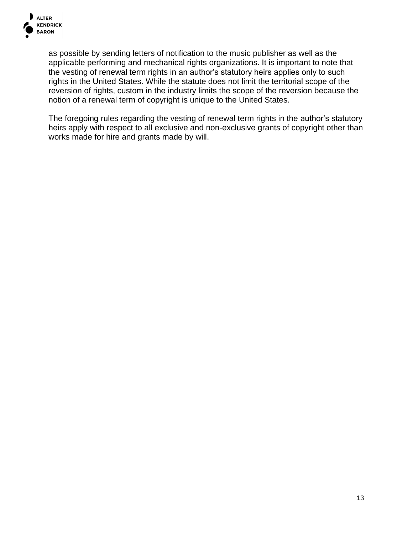

as possible by sending letters of notification to the music publisher as well as the applicable performing and mechanical rights organizations. It is important to note that the vesting of renewal term rights in an author's statutory heirs applies only to such rights in the United States. While the statute does not limit the territorial scope of the reversion of rights, custom in the industry limits the scope of the reversion because the notion of a renewal term of copyright is unique to the United States.

The foregoing rules regarding the vesting of renewal term rights in the author's statutory heirs apply with respect to all exclusive and non-exclusive grants of copyright other than works made for hire and grants made by will.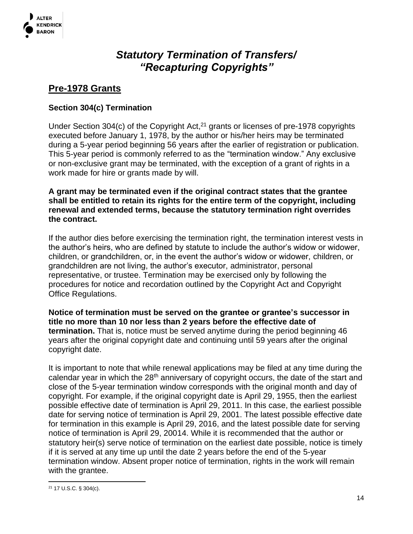

## *Statutory Termination of Transfers/ "Recapturing Copyrights"*

### **Pre-1978 Grants**

### **Section 304(c) Termination**

Under Section 304(c) of the Copyright Act, $2<sup>1</sup>$  grants or licenses of pre-1978 copyrights executed before January 1, 1978, by the author or his/her heirs may be terminated during a 5-year period beginning 56 years after the earlier of registration or publication. This 5-year period is commonly referred to as the "termination window." Any exclusive or non-exclusive grant may be terminated, with the exception of a grant of rights in a work made for hire or grants made by will.

**A grant may be terminated even if the original contract states that the grantee shall be entitled to retain its rights for the entire term of the copyright, including renewal and extended terms, because the statutory termination right overrides the contract.**

If the author dies before exercising the termination right, the termination interest vests in the author's heirs, who are defined by statute to include the author's widow or widower, children, or grandchildren, or, in the event the author's widow or widower, children, or grandchildren are not living, the author's executor, administrator, personal representative, or trustee. Termination may be exercised only by following the procedures for notice and recordation outlined by the Copyright Act and Copyright Office Regulations.

**Notice of termination must be served on the grantee or grantee's successor in title no more than 10 nor less than 2 years before the effective date of termination.** That is, notice must be served anytime during the period beginning 46 years after the original copyright date and continuing until 59 years after the original copyright date.

It is important to note that while renewal applications may be filed at any time during the calendar year in which the 28<sup>th</sup> anniversary of copyright occurs, the date of the start and close of the 5-year termination window corresponds with the original month and day of copyright. For example, if the original copyright date is April 29, 1955, then the earliest possible effective date of termination is April 29, 2011. In this case, the earliest possible date for serving notice of termination is April 29, 2001. The latest possible effective date for termination in this example is April 29, 2016, and the latest possible date for serving notice of termination is April 29, 20014. While it is recommended that the author or statutory heir(s) serve notice of termination on the earliest date possible, notice is timely if it is served at any time up until the date 2 years before the end of the 5-year termination window. Absent proper notice of termination, rights in the work will remain with the grantee.

<sup>21</sup> 17 U.S.C. § 304(c).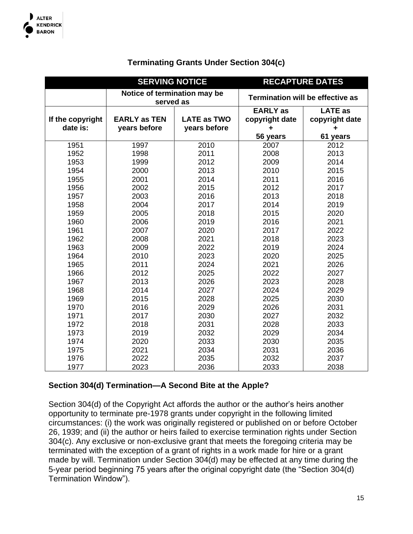

### **Terminating Grants Under Section 304(c)**

|                  | <b>SERVING NOTICE</b>                     |                    | <b>RECAPTURE DATES</b> |                                         |
|------------------|-------------------------------------------|--------------------|------------------------|-----------------------------------------|
|                  | Notice of termination may be<br>served as |                    |                        | <b>Termination will be effective as</b> |
|                  |                                           |                    | <b>EARLY</b> as        | <b>LATE as</b>                          |
| If the copyright | <b>EARLY as TEN</b>                       | <b>LATE as TWO</b> | copyright date         | copyright date                          |
| date is:         | years before                              | years before       | ٠                      |                                         |
|                  |                                           |                    | 56 years               | 61 years                                |
| 1951             | 1997                                      | 2010               | 2007                   | 2012                                    |
| 1952             | 1998                                      | 2011               | 2008                   | 2013                                    |
| 1953             | 1999                                      | 2012               | 2009                   | 2014                                    |
| 1954             | 2000                                      | 2013               | 2010                   | 2015                                    |
| 1955             | 2001                                      | 2014               | 2011                   | 2016                                    |
| 1956             | 2002                                      | 2015               | 2012                   | 2017                                    |
| 1957             | 2003                                      | 2016               | 2013                   | 2018                                    |
| 1958             | 2004                                      | 2017               | 2014                   | 2019                                    |
| 1959             | 2005                                      | 2018               | 2015                   | 2020                                    |
| 1960             | 2006                                      | 2019               | 2016                   | 2021                                    |
| 1961             | 2007                                      | 2020               | 2017                   | 2022                                    |
| 1962             | 2008                                      | 2021               | 2018                   | 2023                                    |
| 1963             | 2009                                      | 2022               | 2019                   | 2024                                    |
| 1964             | 2010                                      | 2023               | 2020                   | 2025                                    |
| 1965             | 2011                                      | 2024               | 2021                   | 2026                                    |
| 1966             | 2012                                      | 2025               | 2022                   | 2027                                    |
| 1967             | 2013                                      | 2026               | 2023                   | 2028                                    |
| 1968             | 2014                                      | 2027               | 2024                   | 2029                                    |
| 1969             | 2015                                      | 2028               | 2025                   | 2030                                    |
| 1970             | 2016                                      | 2029               | 2026                   | 2031                                    |
| 1971             | 2017                                      | 2030               | 2027                   | 2032                                    |
| 1972             | 2018                                      | 2031               | 2028                   | 2033                                    |
| 1973             | 2019                                      | 2032               | 2029                   | 2034                                    |
| 1974             | 2020                                      | 2033               | 2030                   | 2035                                    |
| 1975             | 2021                                      | 2034               | 2031                   | 2036                                    |
| 1976             | 2022                                      | 2035               | 2032                   | 2037                                    |
| 1977             | 2023                                      | 2036               | 2033                   | 2038                                    |

#### **Section 304(d) Termination—A Second Bite at the Apple?**

Section 304(d) of the Copyright Act affords the author or the author's heirs another opportunity to terminate pre-1978 grants under copyright in the following limited circumstances: (i) the work was originally registered or published on or before October 26, 1939; and (ii) the author or heirs failed to exercise termination rights under Section 304(c). Any exclusive or non-exclusive grant that meets the foregoing criteria may be terminated with the exception of a grant of rights in a work made for hire or a grant made by will. Termination under Section 304(d) may be effected at any time during the 5-year period beginning 75 years after the original copyright date (the "Section 304(d) Termination Window").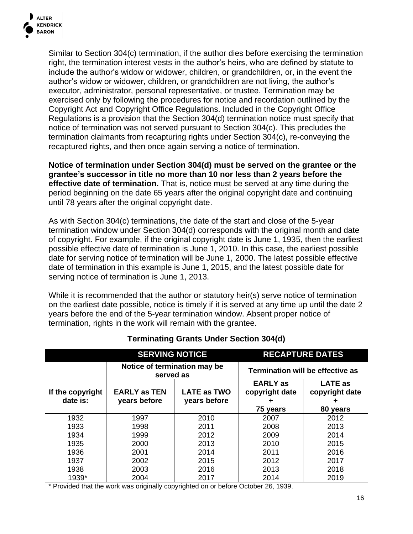

Similar to Section 304(c) termination, if the author dies before exercising the termination right, the termination interest vests in the author's heirs, who are defined by statute to include the author's widow or widower, children, or grandchildren, or, in the event the author's widow or widower, children, or grandchildren are not living, the author's executor, administrator, personal representative, or trustee. Termination may be exercised only by following the procedures for notice and recordation outlined by the Copyright Act and Copyright Office Regulations. Included in the Copyright Office Regulations is a provision that the Section 304(d) termination notice must specify that notice of termination was not served pursuant to Section 304(c). This precludes the termination claimants from recapturing rights under Section 304(c), re-conveying the recaptured rights, and then once again serving a notice of termination.

**Notice of termination under Section 304(d) must be served on the grantee or the grantee's successor in title no more than 10 nor less than 2 years before the effective date of termination.** That is, notice must be served at any time during the period beginning on the date 65 years after the original copyright date and continuing until 78 years after the original copyright date.

As with Section 304(c) terminations, the date of the start and close of the 5-year termination window under Section 304(d) corresponds with the original month and date of copyright. For example, if the original copyright date is June 1, 1935, then the earliest possible effective date of termination is June 1, 2010. In this case, the earliest possible date for serving notice of termination will be June 1, 2000. The latest possible effective date of termination in this example is June 1, 2015, and the latest possible date for serving notice of termination is June 1, 2013.

While it is recommended that the author or statutory heir(s) serve notice of termination on the earliest date possible, notice is timely if it is served at any time up until the date 2 years before the end of the 5-year termination window. Absent proper notice of termination, rights in the work will remain with the grantee.

|                  | <b>SERVING NOTICE</b>                     |                    | <b>RECAPTURE DATES</b>            |                                         |
|------------------|-------------------------------------------|--------------------|-----------------------------------|-----------------------------------------|
|                  | Notice of termination may be<br>served as |                    |                                   | <b>Termination will be effective as</b> |
| If the copyright | <b>EARLY as TEN</b>                       | <b>LATE as TWO</b> | <b>EARLY</b> as<br>copyright date | <b>LATE as</b><br>copyright date        |
| date is:         | years before                              | years before       | ٠<br>75 years                     | ٠<br>80 years                           |
| 1932             | 1997                                      | 2010               | 2007                              | 2012                                    |
| 1933             | 1998                                      | 2011               | 2008                              | 2013                                    |
| 1934             | 1999                                      | 2012               | 2009                              | 2014                                    |
| 1935             | 2000                                      | 2013               | 2010                              | 2015                                    |
| 1936             | 2001                                      | 2014               | 2011                              | 2016                                    |
| 1937             | 2002                                      | 2015               | 2012                              | 2017                                    |
| 1938             | 2003                                      | 2016               | 2013                              | 2018                                    |
| 1939*            | 2004                                      | 2017               | 2014                              | 2019                                    |

#### **Terminating Grants Under Section 304(d)**

\* Provided that the work was originally copyrighted on or before October 26, 1939.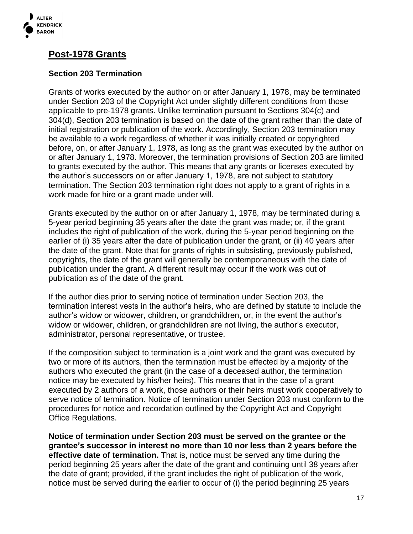

### **Post-1978 Grants**

### **Section 203 Termination**

Grants of works executed by the author on or after January 1, 1978, may be terminated under Section 203 of the Copyright Act under slightly different conditions from those applicable to pre-1978 grants. Unlike termination pursuant to Sections 304(c) and 304(d), Section 203 termination is based on the date of the grant rather than the date of initial registration or publication of the work. Accordingly, Section 203 termination may be available to a work regardless of whether it was initially created or copyrighted before, on, or after January 1, 1978, as long as the grant was executed by the author on or after January 1, 1978. Moreover, the termination provisions of Section 203 are limited to grants executed by the author. This means that any grants or licenses executed by the author's successors on or after January 1, 1978, are not subject to statutory termination. The Section 203 termination right does not apply to a grant of rights in a work made for hire or a grant made under will.

Grants executed by the author on or after January 1, 1978, may be terminated during a 5-year period beginning 35 years after the date the grant was made; or, if the grant includes the right of publication of the work, during the 5-year period beginning on the earlier of (i) 35 years after the date of publication under the grant, or (ii) 40 years after the date of the grant. Note that for grants of rights in subsisting, previously published, copyrights, the date of the grant will generally be contemporaneous with the date of publication under the grant. A different result may occur if the work was out of publication as of the date of the grant.

If the author dies prior to serving notice of termination under Section 203, the termination interest vests in the author's heirs, who are defined by statute to include the author's widow or widower, children, or grandchildren, or, in the event the author's widow or widower, children, or grandchildren are not living, the author's executor, administrator, personal representative, or trustee.

If the composition subject to termination is a joint work and the grant was executed by two or more of its authors, then the termination must be effected by a majority of the authors who executed the grant (in the case of a deceased author, the termination notice may be executed by his/her heirs). This means that in the case of a grant executed by 2 authors of a work, those authors or their heirs must work cooperatively to serve notice of termination. Notice of termination under Section 203 must conform to the procedures for notice and recordation outlined by the Copyright Act and Copyright Office Regulations.

**Notice of termination under Section 203 must be served on the grantee or the grantee's successor in interest no more than 10 nor less than 2 years before the effective date of termination.** That is, notice must be served any time during the period beginning 25 years after the date of the grant and continuing until 38 years after the date of grant; provided, if the grant includes the right of publication of the work, notice must be served during the earlier to occur of (i) the period beginning 25 years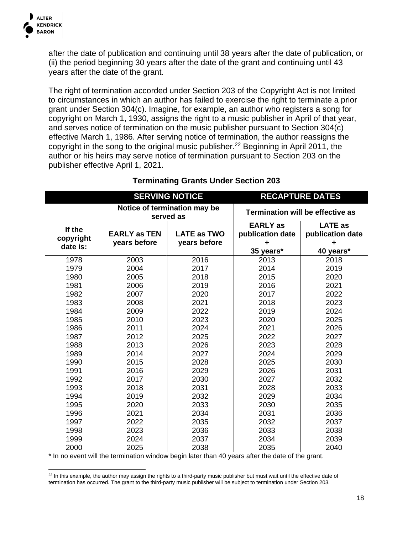

after the date of publication and continuing until 38 years after the date of publication, or (ii) the period beginning 30 years after the date of the grant and continuing until 43 years after the date of the grant.

The right of termination accorded under Section 203 of the Copyright Act is not limited to circumstances in which an author has failed to exercise the right to terminate a prior grant under Section 304(c). Imagine, for example, an author who registers a song for copyright on March 1, 1930, assigns the right to a music publisher in April of that year, and serves notice of termination on the music publisher pursuant to Section 304(c) effective March 1, 1986. After serving notice of termination, the author reassigns the copyright in the song to the original music publisher.<sup>22</sup> Beginning in April 2011, the author or his heirs may serve notice of termination pursuant to Section 203 on the publisher effective April 1, 2021.

|                                 | <b>SERVING NOTICE</b>                     |                                    | <b>RECAPTURE DATES</b>                   |                                         |
|---------------------------------|-------------------------------------------|------------------------------------|------------------------------------------|-----------------------------------------|
|                                 | Notice of termination may be<br>served as |                                    |                                          | <b>Termination will be effective as</b> |
| If the<br>copyright<br>date is: | <b>EARLY as TEN</b><br>years before       | <b>LATE as TWO</b><br>years before | <b>EARLY</b> as<br>publication date<br>÷ | <b>LATE</b> as<br>publication date      |
|                                 |                                           |                                    | 35 years*                                | 40 years*                               |
| 1978                            | 2003                                      | 2016                               | 2013                                     | 2018                                    |
| 1979                            | 2004                                      | 2017                               | 2014                                     | 2019                                    |
| 1980                            | 2005                                      | 2018                               | 2015                                     | 2020                                    |
| 1981                            | 2006                                      | 2019                               | 2016                                     | 2021                                    |
| 1982                            | 2007                                      | 2020                               | 2017                                     | 2022                                    |
| 1983                            | 2008                                      | 2021                               | 2018                                     | 2023                                    |
| 1984                            | 2009                                      | 2022                               | 2019                                     | 2024                                    |
| 1985                            | 2010                                      | 2023                               | 2020                                     | 2025                                    |
| 1986                            | 2011                                      | 2024                               | 2021                                     | 2026                                    |
| 1987                            | 2012                                      | 2025                               | 2022                                     | 2027                                    |
| 1988                            | 2013                                      | 2026                               | 2023                                     | 2028                                    |
| 1989                            | 2014                                      | 2027                               | 2024                                     | 2029                                    |
| 1990                            | 2015                                      | 2028                               | 2025                                     | 2030                                    |
| 1991                            | 2016                                      | 2029                               | 2026                                     | 2031                                    |
| 1992                            | 2017                                      | 2030                               | 2027                                     | 2032                                    |
| 1993                            | 2018                                      | 2031                               | 2028                                     | 2033                                    |
| 1994                            | 2019                                      | 2032                               | 2029                                     | 2034                                    |
| 1995                            | 2020                                      | 2033                               | 2030                                     | 2035                                    |
| 1996                            | 2021                                      | 2034                               | 2031                                     | 2036                                    |
| 1997                            | 2022                                      | 2035                               | 2032                                     | 2037                                    |
| 1998                            | 2023                                      | 2036                               | 2033                                     | 2038                                    |
| 1999                            | 2024                                      | 2037                               | 2034                                     | 2039                                    |
| 2000                            | 2025                                      | 2038                               | 2035                                     | 2040                                    |

### **Terminating Grants Under Section 203**

\* In no event will the termination window begin later than 40 years after the date of the grant.

<sup>&</sup>lt;sup>22</sup> In this example, the author may assign the rights to a third-party music publisher but must wait until the effective date of termination has occurred. The grant to the third-party music publisher will be subject to termination under Section 203.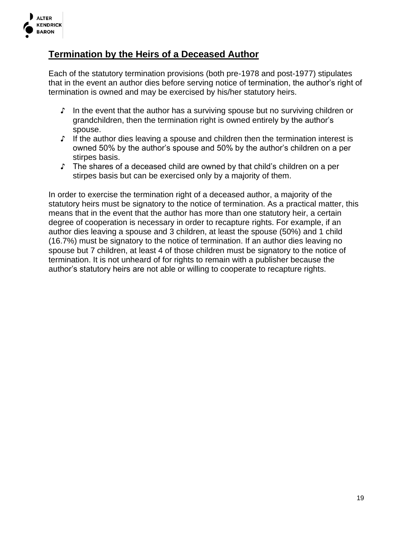

### **Termination by the Heirs of a Deceased Author**

Each of the statutory termination provisions (both pre-1978 and post-1977) stipulates that in the event an author dies before serving notice of termination, the author's right of termination is owned and may be exercised by his/her statutory heirs.

- ♪ In the event that the author has a surviving spouse but no surviving children or grandchildren, then the termination right is owned entirely by the author's spouse.
- ♪ If the author dies leaving a spouse and children then the termination interest is owned 50% by the author's spouse and 50% by the author's children on a per stirpes basis.
- ♪ The shares of a deceased child are owned by that child's children on a per stirpes basis but can be exercised only by a majority of them.

In order to exercise the termination right of a deceased author, a majority of the statutory heirs must be signatory to the notice of termination. As a practical matter, this means that in the event that the author has more than one statutory heir, a certain degree of cooperation is necessary in order to recapture rights. For example, if an author dies leaving a spouse and 3 children, at least the spouse (50%) and 1 child (16.7%) must be signatory to the notice of termination. If an author dies leaving no spouse but 7 children, at least 4 of those children must be signatory to the notice of termination. It is not unheard of for rights to remain with a publisher because the author's statutory heirs are not able or willing to cooperate to recapture rights.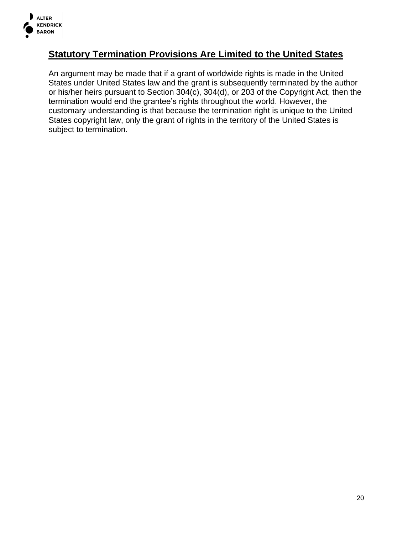

### **Statutory Termination Provisions Are Limited to the United States**

An argument may be made that if a grant of worldwide rights is made in the United States under United States law and the grant is subsequently terminated by the author or his/her heirs pursuant to Section 304(c), 304(d), or 203 of the Copyright Act, then the termination would end the grantee's rights throughout the world. However, the customary understanding is that because the termination right is unique to the United States copyright law, only the grant of rights in the territory of the United States is subject to termination.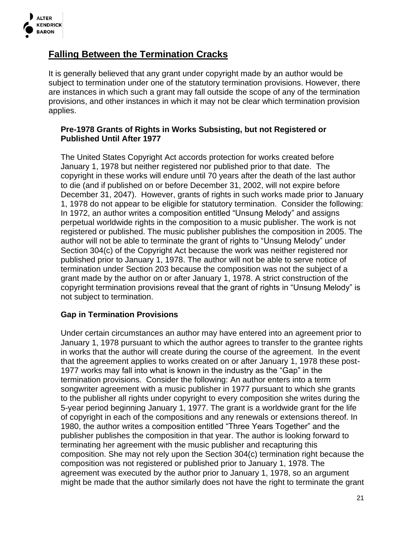

### **Falling Between the Termination Cracks**

It is generally believed that any grant under copyright made by an author would be subject to termination under one of the statutory termination provisions. However, there are instances in which such a grant may fall outside the scope of any of the termination provisions, and other instances in which it may not be clear which termination provision applies.

#### **Pre-1978 Grants of Rights in Works Subsisting, but not Registered or Published Until After 1977**

The United States Copyright Act accords protection for works created before January 1, 1978 but neither registered nor published prior to that date. The copyright in these works will endure until 70 years after the death of the last author to die (and if published on or before December 31, 2002, will not expire before December 31, 2047). However, grants of rights in such works made prior to January 1, 1978 do not appear to be eligible for statutory termination. Consider the following: In 1972, an author writes a composition entitled "Unsung Melody" and assigns perpetual worldwide rights in the composition to a music publisher. The work is not registered or published. The music publisher publishes the composition in 2005. The author will not be able to terminate the grant of rights to "Unsung Melody" under Section 304(c) of the Copyright Act because the work was neither registered nor published prior to January 1, 1978. The author will not be able to serve notice of termination under Section 203 because the composition was not the subject of a grant made by the author on or after January 1, 1978. A strict construction of the copyright termination provisions reveal that the grant of rights in "Unsung Melody" is not subject to termination.

### **Gap in Termination Provisions**

Under certain circumstances an author may have entered into an agreement prior to January 1, 1978 pursuant to which the author agrees to transfer to the grantee rights in works that the author will create during the course of the agreement. In the event that the agreement applies to works created on or after January 1, 1978 these post-1977 works may fall into what is known in the industry as the "Gap" in the termination provisions. Consider the following: An author enters into a term songwriter agreement with a music publisher in 1977 pursuant to which she grants to the publisher all rights under copyright to every composition she writes during the 5-year period beginning January 1, 1977. The grant is a worldwide grant for the life of copyright in each of the compositions and any renewals or extensions thereof. In 1980, the author writes a composition entitled "Three Years Together" and the publisher publishes the composition in that year. The author is looking forward to terminating her agreement with the music publisher and recapturing this composition. She may not rely upon the Section 304(c) termination right because the composition was not registered or published prior to January 1, 1978. The agreement was executed by the author prior to January 1, 1978, so an argument might be made that the author similarly does not have the right to terminate the grant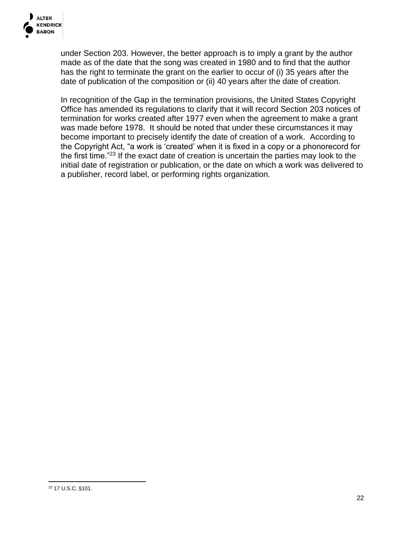

under Section 203. However, the better approach is to imply a grant by the author made as of the date that the song was created in 1980 and to find that the author has the right to terminate the grant on the earlier to occur of (i) 35 years after the date of publication of the composition or (ii) 40 years after the date of creation.

In recognition of the Gap in the termination provisions, the United States Copyright Office has amended its regulations to clarify that it will record Section 203 notices of termination for works created after 1977 even when the agreement to make a grant was made before 1978. It should be noted that under these circumstances it may become important to precisely identify the date of creation of a work. According to the Copyright Act, "a work is 'created' when it is fixed in a copy or a phonorecord for the first time."<sup>23</sup> If the exact date of creation is uncertain the parties may look to the initial date of registration or publication, or the date on which a work was delivered to a publisher, record label, or performing rights organization.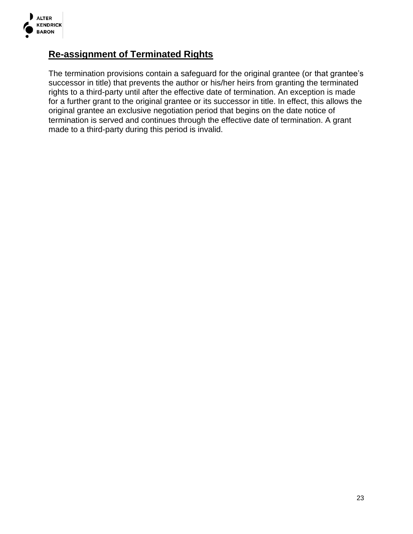

### **Re-assignment of Terminated Rights**

The termination provisions contain a safeguard for the original grantee (or that grantee's successor in title) that prevents the author or his/her heirs from granting the terminated rights to a third-party until after the effective date of termination. An exception is made for a further grant to the original grantee or its successor in title. In effect, this allows the original grantee an exclusive negotiation period that begins on the date notice of termination is served and continues through the effective date of termination. A grant made to a third-party during this period is invalid.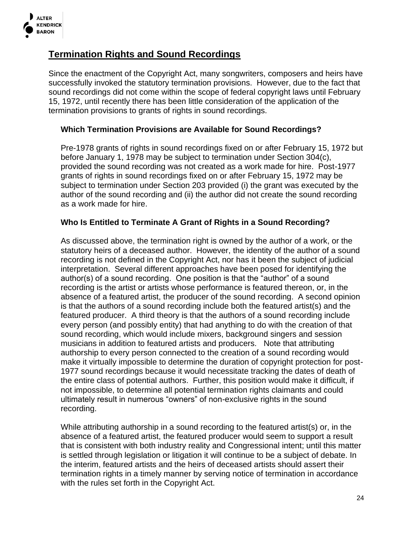

### **Termination Rights and Sound Recordings**

Since the enactment of the Copyright Act, many songwriters, composers and heirs have successfully invoked the statutory termination provisions. However, due to the fact that sound recordings did not come within the scope of federal copyright laws until February 15, 1972, until recently there has been little consideration of the application of the termination provisions to grants of rights in sound recordings.

### **Which Termination Provisions are Available for Sound Recordings?**

Pre-1978 grants of rights in sound recordings fixed on or after February 15, 1972 but before January 1, 1978 may be subject to termination under Section 304(c), provided the sound recording was not created as a work made for hire. Post-1977 grants of rights in sound recordings fixed on or after February 15, 1972 may be subject to termination under Section 203 provided (i) the grant was executed by the author of the sound recording and (ii) the author did not create the sound recording as a work made for hire.

### **Who Is Entitled to Terminate A Grant of Rights in a Sound Recording?**

As discussed above, the termination right is owned by the author of a work, or the statutory heirs of a deceased author. However, the identity of the author of a sound recording is not defined in the Copyright Act, nor has it been the subject of judicial interpretation. Several different approaches have been posed for identifying the author(s) of a sound recording. One position is that the "author" of a sound recording is the artist or artists whose performance is featured thereon, or, in the absence of a featured artist, the producer of the sound recording. A second opinion is that the authors of a sound recording include both the featured artist(s) and the featured producer. A third theory is that the authors of a sound recording include every person (and possibly entity) that had anything to do with the creation of that sound recording, which would include mixers, background singers and session musicians in addition to featured artists and producers. Note that attributing authorship to every person connected to the creation of a sound recording would make it virtually impossible to determine the duration of copyright protection for post-1977 sound recordings because it would necessitate tracking the dates of death of the entire class of potential authors. Further, this position would make it difficult, if not impossible, to determine all potential termination rights claimants and could ultimately result in numerous "owners" of non-exclusive rights in the sound recording.

While attributing authorship in a sound recording to the featured artist(s) or, in the absence of a featured artist, the featured producer would seem to support a result that is consistent with both industry reality and Congressional intent; until this matter is settled through legislation or litigation it will continue to be a subject of debate. In the interim, featured artists and the heirs of deceased artists should assert their termination rights in a timely manner by serving notice of termination in accordance with the rules set forth in the Copyright Act.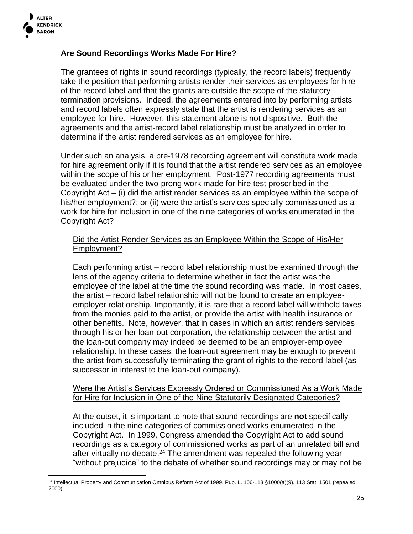

### **Are Sound Recordings Works Made For Hire?**

The grantees of rights in sound recordings (typically, the record labels) frequently take the position that performing artists render their services as employees for hire of the record label and that the grants are outside the scope of the statutory termination provisions. Indeed, the agreements entered into by performing artists and record labels often expressly state that the artist is rendering services as an employee for hire. However, this statement alone is not dispositive. Both the agreements and the artist-record label relationship must be analyzed in order to determine if the artist rendered services as an employee for hire.

Under such an analysis, a pre-1978 recording agreement will constitute work made for hire agreement only if it is found that the artist rendered services as an employee within the scope of his or her employment. Post-1977 recording agreements must be evaluated under the two-prong work made for hire test proscribed in the Copyright Act – (i) did the artist render services as an employee within the scope of his/her employment?; or (ii) were the artist's services specially commissioned as a work for hire for inclusion in one of the nine categories of works enumerated in the Copyright Act?

#### Did the Artist Render Services as an Employee Within the Scope of His/Her Employment?

Each performing artist – record label relationship must be examined through the lens of the agency criteria to determine whether in fact the artist was the employee of the label at the time the sound recording was made. In most cases, the artist – record label relationship will not be found to create an employeeemployer relationship. Importantly, it is rare that a record label will withhold taxes from the monies paid to the artist, or provide the artist with health insurance or other benefits. Note, however, that in cases in which an artist renders services through his or her loan-out corporation, the relationship between the artist and the loan-out company may indeed be deemed to be an employer-employee relationship. In these cases, the loan-out agreement may be enough to prevent the artist from successfully terminating the grant of rights to the record label (as successor in interest to the loan-out company).

#### Were the Artist's Services Expressly Ordered or Commissioned As a Work Made for Hire for Inclusion in One of the Nine Statutorily Designated Categories?

At the outset, it is important to note that sound recordings are **not** specifically included in the nine categories of commissioned works enumerated in the Copyright Act. In 1999, Congress amended the Copyright Act to add sound recordings as a category of commissioned works as part of an unrelated bill and after virtually no debate.<sup>24</sup> The amendment was repealed the following year "without prejudice" to the debate of whether sound recordings may or may not be

<sup>&</sup>lt;sup>24</sup> Intellectual Property and Communication Omnibus Reform Act of 1999, Pub. L. 106-113 §1000(a)(9), 113 Stat. 1501 (repealed 2000).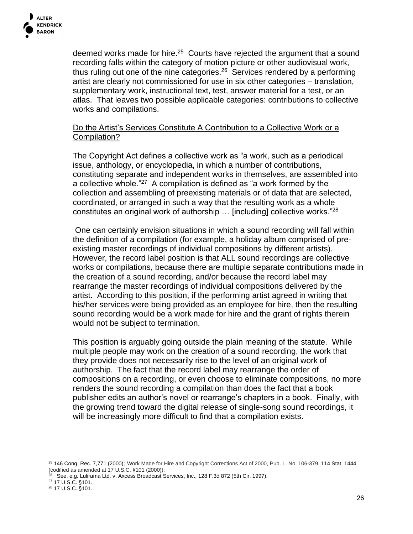

deemed works made for hire.<sup>25</sup> Courts have rejected the argument that a sound recording falls within the category of motion picture or other audiovisual work, thus ruling out one of the nine categories.<sup>26</sup> Services rendered by a performing artist are clearly not commissioned for use in six other categories – translation, supplementary work, instructional text, test, answer material for a test, or an atlas. That leaves two possible applicable categories: contributions to collective works and compilations.

### Do the Artist's Services Constitute A Contribution to a Collective Work or a Compilation?

The Copyright Act defines a collective work as "a work, such as a periodical issue, anthology, or encyclopedia, in which a number of contributions, constituting separate and independent works in themselves, are assembled into a collective whole."<sup>27</sup> A compilation is defined as "a work formed by the collection and assembling of preexisting materials or of data that are selected, coordinated, or arranged in such a way that the resulting work as a whole constitutes an original work of authorship … [including] collective works."<sup>28</sup>

One can certainly envision situations in which a sound recording will fall within the definition of a compilation (for example, a holiday album comprised of preexisting master recordings of individual compositions by different artists). However, the record label position is that ALL sound recordings are collective works or compilations, because there are multiple separate contributions made in the creation of a sound recording, and/or because the record label may rearrange the master recordings of individual compositions delivered by the artist. According to this position, if the performing artist agreed in writing that his/her services were being provided as an employee for hire, then the resulting sound recording would be a work made for hire and the grant of rights therein would not be subject to termination.

This position is arguably going outside the plain meaning of the statute. While multiple people may work on the creation of a sound recording, the work that they provide does not necessarily rise to the level of an original work of authorship. The fact that the record label may rearrange the order of compositions on a recording, or even choose to eliminate compositions, no more renders the sound recording a compilation than does the fact that a book publisher edits an author's novel or rearrange's chapters in a book. Finally, with the growing trend toward the digital release of single-song sound recordings, it will be increasingly more difficult to find that a compilation exists.

<sup>25</sup> 146 Cong. Rec. 7,771 (2000); Work Made for Hire and Copyright Corrections Act of 2000, Pub. L. No. 106-379, 114 Stat. 1444 (codified as amended at 17 U.S.C. §101 (2000)).

<sup>26</sup> See, e.g. Lulirama Ltd. v. Axcess Broadcast Services, Inc., 128 F.3d 872 (5th Cir. 1997).

<sup>27</sup> 17 U.S.C. §101.

<sup>28</sup> 17 U.S.C. §101.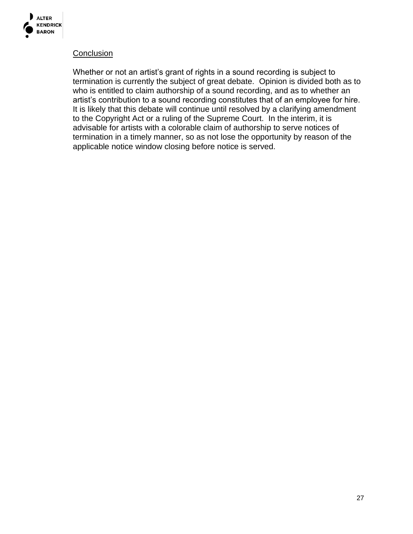

#### **Conclusion**

Whether or not an artist's grant of rights in a sound recording is subject to termination is currently the subject of great debate. Opinion is divided both as to who is entitled to claim authorship of a sound recording, and as to whether an artist's contribution to a sound recording constitutes that of an employee for hire. It is likely that this debate will continue until resolved by a clarifying amendment to the Copyright Act or a ruling of the Supreme Court. In the interim, it is advisable for artists with a colorable claim of authorship to serve notices of termination in a timely manner, so as not lose the opportunity by reason of the applicable notice window closing before notice is served.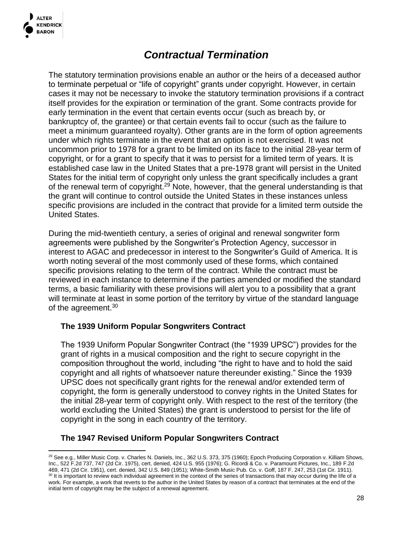

## *Contractual Termination*

The statutory termination provisions enable an author or the heirs of a deceased author to terminate perpetual or "life of copyright" grants under copyright. However, in certain cases it may not be necessary to invoke the statutory termination provisions if a contract itself provides for the expiration or termination of the grant. Some contracts provide for early termination in the event that certain events occur (such as breach by, or bankruptcy of, the grantee) or that certain events fail to occur (such as the failure to meet a minimum guaranteed royalty). Other grants are in the form of option agreements under which rights terminate in the event that an option is not exercised. It was not uncommon prior to 1978 for a grant to be limited on its face to the initial 28-year term of copyright, or for a grant to specify that it was to persist for a limited term of years. It is established case law in the United States that a pre-1978 grant will persist in the United States for the initial term of copyright only unless the grant specifically includes a grant of the renewal term of copyright.<sup>29</sup> Note, however, that the general understanding is that the grant will continue to control outside the United States in these instances unless specific provisions are included in the contract that provide for a limited term outside the United States.

During the mid-twentieth century, a series of original and renewal songwriter form agreements were published by the Songwriter's Protection Agency, successor in interest to AGAC and predecessor in interest to the Songwriter's Guild of America. It is worth noting several of the most commonly used of these forms, which contained specific provisions relating to the term of the contract. While the contract must be reviewed in each instance to determine if the parties amended or modified the standard terms, a basic familiarity with these provisions will alert you to a possibility that a grant will terminate at least in some portion of the territory by virtue of the standard language of the agreement.<sup>30</sup>

#### **The 1939 Uniform Popular Songwriters Contract**

The 1939 Uniform Popular Songwriter Contract (the "1939 UPSC") provides for the grant of rights in a musical composition and the right to secure copyright in the composition throughout the world, including "the right to have and to hold the said copyright and all rights of whatsoever nature thereunder existing." Since the 1939 UPSC does not specifically grant rights for the renewal and/or extended term of copyright, the form is generally understood to convey rights in the United States for the initial 28-year term of copyright only. With respect to the rest of the territory (the world excluding the United States) the grant is understood to persist for the life of copyright in the song in each country of the territory.

### **The 1947 Revised Uniform Popular Songwriters Contract**

<sup>&</sup>lt;sup>29</sup> See e.g., Miller Music Corp. v. Charles N. Daniels, Inc., 362 U.S. 373, 375 (1960); Epoch Producing Corporation v. Killiam Shows, Inc., 522 F.2d 737, 747 (2d Cir. 1975), cert. denied, 424 U.S. 955 (1976); G. Ricordi & Co. v. Paramount Pictures, Inc., 189 F.2d 469, 471 (2d Cir. 1951), cert. denied, 342 U.S. 849 (1951); White-Smith Music Pub. Co. v. Goff, 187 F. 247, 253 (1st Cir. 1911). <sup>30</sup> It is important to review each individual agreement in the context of the series of transactions that may occur during the life of a work. For example, a work that reverts to the author in the United States by reason of a contract that terminates at the end of the initial term of copyright may be the subject of a renewal agreement.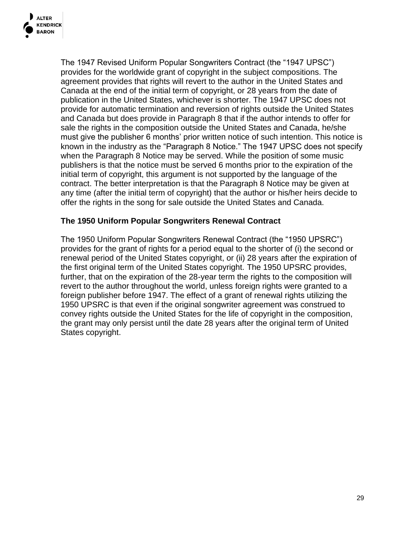

The 1947 Revised Uniform Popular Songwriters Contract (the "1947 UPSC") provides for the worldwide grant of copyright in the subject compositions. The agreement provides that rights will revert to the author in the United States and Canada at the end of the initial term of copyright, or 28 years from the date of publication in the United States, whichever is shorter. The 1947 UPSC does not provide for automatic termination and reversion of rights outside the United States and Canada but does provide in Paragraph 8 that if the author intends to offer for sale the rights in the composition outside the United States and Canada, he/she must give the publisher 6 months' prior written notice of such intention. This notice is known in the industry as the "Paragraph 8 Notice." The 1947 UPSC does not specify when the Paragraph 8 Notice may be served. While the position of some music publishers is that the notice must be served 6 months prior to the expiration of the initial term of copyright, this argument is not supported by the language of the contract. The better interpretation is that the Paragraph 8 Notice may be given at any time (after the initial term of copyright) that the author or his/her heirs decide to offer the rights in the song for sale outside the United States and Canada.

#### **The 1950 Uniform Popular Songwriters Renewal Contract**

The 1950 Uniform Popular Songwriters Renewal Contract (the "1950 UPSRC") provides for the grant of rights for a period equal to the shorter of (i) the second or renewal period of the United States copyright, or (ii) 28 years after the expiration of the first original term of the United States copyright. The 1950 UPSRC provides, further, that on the expiration of the 28-year term the rights to the composition will revert to the author throughout the world, unless foreign rights were granted to a foreign publisher before 1947. The effect of a grant of renewal rights utilizing the 1950 UPSRC is that even if the original songwriter agreement was construed to convey rights outside the United States for the life of copyright in the composition, the grant may only persist until the date 28 years after the original term of United States copyright.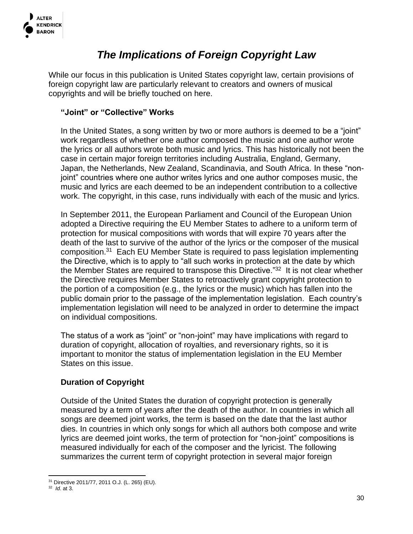

## *The Implications of Foreign Copyright Law*

While our focus in this publication is United States copyright law, certain provisions of foreign copyright law are particularly relevant to creators and owners of musical copyrights and will be briefly touched on here.

### **"Joint" or "Collective" Works**

In the United States, a song written by two or more authors is deemed to be a "joint" work regardless of whether one author composed the music and one author wrote the lyrics or all authors wrote both music and lyrics. This has historically not been the case in certain major foreign territories including Australia, England, Germany, Japan, the Netherlands, New Zealand, Scandinavia, and South Africa. In these "nonjoint" countries where one author writes lyrics and one author composes music, the music and lyrics are each deemed to be an independent contribution to a collective work. The copyright, in this case, runs individually with each of the music and lyrics.

In September 2011, the European Parliament and Council of the European Union adopted a Directive requiring the EU Member States to adhere to a uniform term of protection for musical compositions with words that will expire 70 years after the death of the last to survive of the author of the lyrics or the composer of the musical composition.<sup>31</sup> Each EU Member State is required to pass legislation implementing the Directive, which is to apply to "all such works in protection at the date by which the Member States are required to transpose this Directive."<sup>32</sup> It is not clear whether the Directive requires Member States to retroactively grant copyright protection to the portion of a composition (e.g., the lyrics or the music) which has fallen into the public domain prior to the passage of the implementation legislation. Each country's implementation legislation will need to be analyzed in order to determine the impact on individual compositions.

The status of a work as "joint" or "non-joint" may have implications with regard to duration of copyright, allocation of royalties, and reversionary rights, so it is important to monitor the status of implementation legislation in the EU Member States on this issue.

### **Duration of Copyright**

Outside of the United States the duration of copyright protection is generally measured by a term of years after the death of the author. In countries in which all songs are deemed joint works, the term is based on the date that the last author dies. In countries in which only songs for which all authors both compose and write lyrics are deemed joint works, the term of protection for "non-joint" compositions is measured individually for each of the composer and the lyricist. The following summarizes the current term of copyright protection in several major foreign

<sup>31</sup> Directive 2011/77, 2011 O.J. (L. 265) (EU).

<sup>32</sup> *Id*. at 3.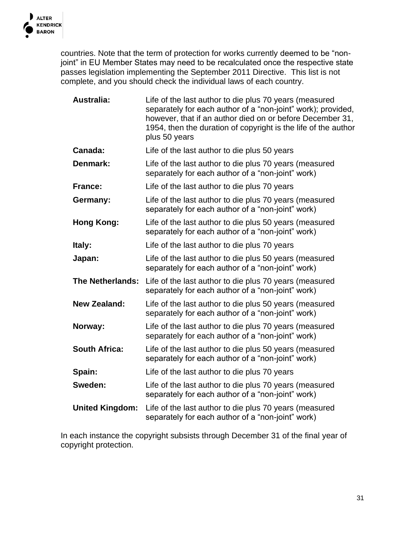

countries. Note that the term of protection for works currently deemed to be "nonjoint" in EU Member States may need to be recalculated once the respective state passes legislation implementing the September 2011 Directive. This list is not complete, and you should check the individual laws of each country.

| <b>Australia:</b>       | Life of the last author to die plus 70 years (measured<br>separately for each author of a "non-joint" work); provided,<br>however, that if an author died on or before December 31,<br>1954, then the duration of copyright is the life of the author<br>plus 50 years |
|-------------------------|------------------------------------------------------------------------------------------------------------------------------------------------------------------------------------------------------------------------------------------------------------------------|
| Canada:                 | Life of the last author to die plus 50 years                                                                                                                                                                                                                           |
| Denmark:                | Life of the last author to die plus 70 years (measured<br>separately for each author of a "non-joint" work)                                                                                                                                                            |
| <b>France:</b>          | Life of the last author to die plus 70 years                                                                                                                                                                                                                           |
| Germany:                | Life of the last author to die plus 70 years (measured<br>separately for each author of a "non-joint" work)                                                                                                                                                            |
| Hong Kong:              | Life of the last author to die plus 50 years (measured<br>separately for each author of a "non-joint" work)                                                                                                                                                            |
| Italy:                  | Life of the last author to die plus 70 years                                                                                                                                                                                                                           |
| Japan:                  | Life of the last author to die plus 50 years (measured<br>separately for each author of a "non-joint" work)                                                                                                                                                            |
| <b>The Netherlands:</b> | Life of the last author to die plus 70 years (measured<br>separately for each author of a "non-joint" work)                                                                                                                                                            |
| <b>New Zealand:</b>     | Life of the last author to die plus 50 years (measured<br>separately for each author of a "non-joint" work)                                                                                                                                                            |
| Norway:                 | Life of the last author to die plus 70 years (measured<br>separately for each author of a "non-joint" work)                                                                                                                                                            |
| <b>South Africa:</b>    | Life of the last author to die plus 50 years (measured<br>separately for each author of a "non-joint" work)                                                                                                                                                            |
| Spain:                  | Life of the last author to die plus 70 years                                                                                                                                                                                                                           |
| Sweden:                 | Life of the last author to die plus 70 years (measured<br>separately for each author of a "non-joint" work)                                                                                                                                                            |
| <b>United Kingdom:</b>  | Life of the last author to die plus 70 years (measured<br>separately for each author of a "non-joint" work)                                                                                                                                                            |

In each instance the copyright subsists through December 31 of the final year of copyright protection.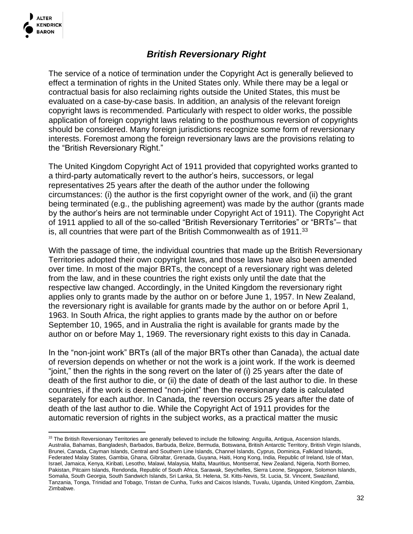

### *British Reversionary Right*

The service of a notice of termination under the Copyright Act is generally believed to effect a termination of rights in the United States only. While there may be a legal or contractual basis for also reclaiming rights outside the United States, this must be evaluated on a case-by-case basis. In addition, an analysis of the relevant foreign copyright laws is recommended. Particularly with respect to older works, the possible application of foreign copyright laws relating to the posthumous reversion of copyrights should be considered. Many foreign jurisdictions recognize some form of reversionary interests. Foremost among the foreign reversionary laws are the provisions relating to the "British Reversionary Right."

The United Kingdom Copyright Act of 1911 provided that copyrighted works granted to a third-party automatically revert to the author's heirs, successors, or legal representatives 25 years after the death of the author under the following circumstances: (i) the author is the first copyright owner of the work, and (ii) the grant being terminated (e.g., the publishing agreement) was made by the author (grants made by the author's heirs are not terminable under Copyright Act of 1911). The Copyright Act of 1911 applied to all of the so-called "British Reversionary Territories" or "BRTs"– that is, all countries that were part of the British Commonwealth as of 1911.<sup>33</sup>

With the passage of time, the individual countries that made up the British Reversionary Territories adopted their own copyright laws, and those laws have also been amended over time. In most of the major BRTs, the concept of a reversionary right was deleted from the law, and in these countries the right exists only until the date that the respective law changed. Accordingly, in the United Kingdom the reversionary right applies only to grants made by the author on or before June 1, 1957. In New Zealand, the reversionary right is available for grants made by the author on or before April 1, 1963. In South Africa, the right applies to grants made by the author on or before September 10, 1965, and in Australia the right is available for grants made by the author on or before May 1, 1969. The reversionary right exists to this day in Canada.

In the "non-joint work" BRTs (all of the major BRTs other than Canada), the actual date of reversion depends on whether or not the work is a joint work. If the work is deemed "joint," then the rights in the song revert on the later of (i) 25 years after the date of death of the first author to die, or (ii) the date of death of the last author to die. In these countries, if the work is deemed "non-joint" then the reversionary date is calculated separately for each author. In Canada, the reversion occurs 25 years after the date of death of the last author to die. While the Copyright Act of 1911 provides for the automatic reversion of rights in the subject works, as a practical matter the music

<sup>33</sup> The British Reversionary Territories are generally believed to include the following: Anguilla, Antigua, Ascension Islands, Australia, Bahamas, Bangladesh, Barbados, Barbuda, Belize, Bermuda, Botswana, British Antarctic Territory, British Virgin Islands, Brunei, Canada, Cayman Islands, Central and Southern Line Islands, Channel Islands, Cyprus, Dominica, Falkland Islands, Federated Malay States, Gambia, Ghana, Gibraltar, Grenada, Guyana, Haiti, Hong Kong, India, Republic of Ireland, Isle of Man, Israel, Jamaica, Kenya, Kiribati, Lesotho, Malawi, Malaysia, Malta, Mauritius, Montserrat, New Zealand, Nigeria, North Borneo, Pakistan, Pitcairn Islands, Rendonda, Republic of South Africa, Sarawak, Seychelles, Sierra Leone, Singapore, Solomon Islands, Somalia, South Georgia, South Sandwich Islands, Sri Lanka, St. Helena, St. Kitts-Nevis, St. Lucia, St. Vincent, Swaziland, Tanzania, Tonga, Trinidad and Tobago, Tristan de Cunha, Turks and Caicos Islands, Tuvalu, Uganda, United Kingdom, Zambia, Zimbabwe.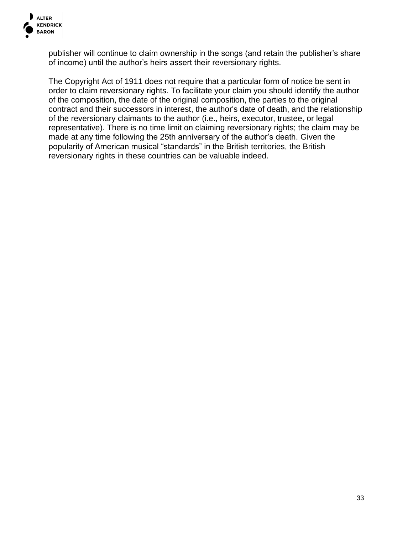

publisher will continue to claim ownership in the songs (and retain the publisher's share of income) until the author's heirs assert their reversionary rights.

The Copyright Act of 1911 does not require that a particular form of notice be sent in order to claim reversionary rights. To facilitate your claim you should identify the author of the composition, the date of the original composition, the parties to the original contract and their successors in interest, the author's date of death, and the relationship of the reversionary claimants to the author (i.e., heirs, executor, trustee, or legal representative). There is no time limit on claiming reversionary rights; the claim may be made at any time following the 25th anniversary of the author's death. Given the popularity of American musical "standards" in the British territories, the British reversionary rights in these countries can be valuable indeed.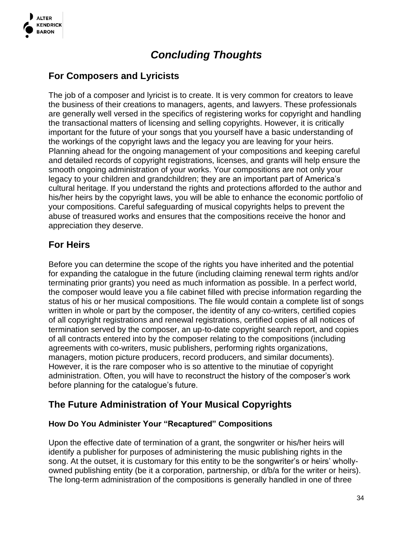

## *Concluding Thoughts*

### **For Composers and Lyricists**

The job of a composer and lyricist is to create. It is very common for creators to leave the business of their creations to managers, agents, and lawyers. These professionals are generally well versed in the specifics of registering works for copyright and handling the transactional matters of licensing and selling copyrights. However, it is critically important for the future of your songs that you yourself have a basic understanding of the workings of the copyright laws and the legacy you are leaving for your heirs. Planning ahead for the ongoing management of your compositions and keeping careful and detailed records of copyright registrations, licenses, and grants will help ensure the smooth ongoing administration of your works. Your compositions are not only your legacy to your children and grandchildren; they are an important part of America's cultural heritage. If you understand the rights and protections afforded to the author and his/her heirs by the copyright laws, you will be able to enhance the economic portfolio of your compositions. Careful safeguarding of musical copyrights helps to prevent the abuse of treasured works and ensures that the compositions receive the honor and appreciation they deserve.

### **For Heirs**

Before you can determine the scope of the rights you have inherited and the potential for expanding the catalogue in the future (including claiming renewal term rights and/or terminating prior grants) you need as much information as possible. In a perfect world, the composer would leave you a file cabinet filled with precise information regarding the status of his or her musical compositions. The file would contain a complete list of songs written in whole or part by the composer, the identity of any co-writers, certified copies of all copyright registrations and renewal registrations, certified copies of all notices of termination served by the composer, an up-to-date copyright search report, and copies of all contracts entered into by the composer relating to the compositions (including agreements with co-writers, music publishers, performing rights organizations, managers, motion picture producers, record producers, and similar documents). However, it is the rare composer who is so attentive to the minutiae of copyright administration. Often, you will have to reconstruct the history of the composer's work before planning for the catalogue's future.

### **The Future Administration of Your Musical Copyrights**

### **How Do You Administer Your "Recaptured" Compositions**

Upon the effective date of termination of a grant, the songwriter or his/her heirs will identify a publisher for purposes of administering the music publishing rights in the song. At the outset, it is customary for this entity to be the songwriter's or heirs' whollyowned publishing entity (be it a corporation, partnership, or d/b/a for the writer or heirs). The long-term administration of the compositions is generally handled in one of three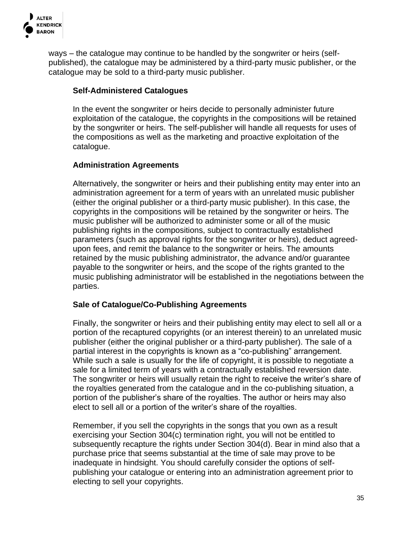

ways – the catalogue may continue to be handled by the songwriter or heirs (selfpublished), the catalogue may be administered by a third-party music publisher, or the catalogue may be sold to a third-party music publisher.

#### **Self-Administered Catalogues**

In the event the songwriter or heirs decide to personally administer future exploitation of the catalogue, the copyrights in the compositions will be retained by the songwriter or heirs. The self-publisher will handle all requests for uses of the compositions as well as the marketing and proactive exploitation of the catalogue.

### **Administration Agreements**

Alternatively, the songwriter or heirs and their publishing entity may enter into an administration agreement for a term of years with an unrelated music publisher (either the original publisher or a third-party music publisher). In this case, the copyrights in the compositions will be retained by the songwriter or heirs. The music publisher will be authorized to administer some or all of the music publishing rights in the compositions, subject to contractually established parameters (such as approval rights for the songwriter or heirs), deduct agreedupon fees, and remit the balance to the songwriter or heirs. The amounts retained by the music publishing administrator, the advance and/or guarantee payable to the songwriter or heirs, and the scope of the rights granted to the music publishing administrator will be established in the negotiations between the parties.

#### **Sale of Catalogue/Co-Publishing Agreements**

Finally, the songwriter or heirs and their publishing entity may elect to sell all or a portion of the recaptured copyrights (or an interest therein) to an unrelated music publisher (either the original publisher or a third-party publisher). The sale of a partial interest in the copyrights is known as a "co-publishing" arrangement. While such a sale is usually for the life of copyright, it is possible to negotiate a sale for a limited term of years with a contractually established reversion date. The songwriter or heirs will usually retain the right to receive the writer's share of the royalties generated from the catalogue and in the co-publishing situation, a portion of the publisher's share of the royalties. The author or heirs may also elect to sell all or a portion of the writer's share of the royalties.

Remember, if you sell the copyrights in the songs that you own as a result exercising your Section 304(c) termination right, you will not be entitled to subsequently recapture the rights under Section 304(d). Bear in mind also that a purchase price that seems substantial at the time of sale may prove to be inadequate in hindsight. You should carefully consider the options of selfpublishing your catalogue or entering into an administration agreement prior to electing to sell your copyrights.